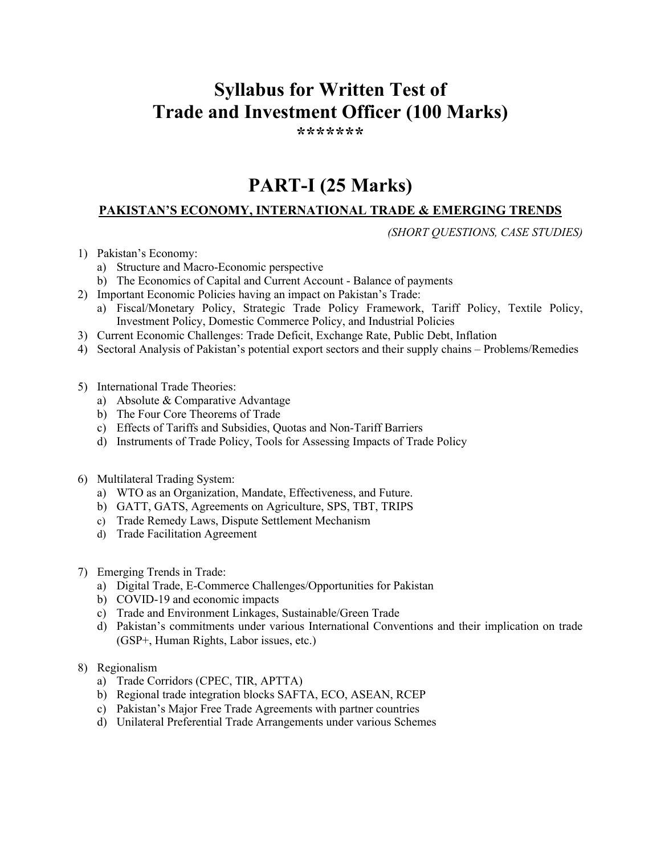# **Syllabus for Written Test of Trade and Investment Officer (100 Marks)**

**\*\*\*\*\*\*\***

### **PART-I (25 Marks)**

### **PAKISTAN'S ECONOMY, INTERNATIONAL TRADE & EMERGING TRENDS**

*(SHORT QUESTIONS, CASE STUDIES)*

- 1) Pakistan's Economy:
	- a) Structure and Macro-Economic perspective
	- b) The Economics of Capital and Current Account Balance of payments
- 2) Important Economic Policies having an impact on Pakistan's Trade:
	- a) Fiscal/Monetary Policy, Strategic Trade Policy Framework, Tariff Policy, Textile Policy, Investment Policy, Domestic Commerce Policy, and Industrial Policies
- 3) Current Economic Challenges: Trade Deficit, Exchange Rate, Public Debt, Inflation
- 4) Sectoral Analysis of Pakistan's potential export sectors and their supply chains Problems/Remedies
- 5) International Trade Theories:
	- a) Absolute & Comparative Advantage
	- b) The Four Core Theorems of Trade
	- c) Effects of Tariffs and Subsidies, Quotas and Non-Tariff Barriers
	- d) Instruments of Trade Policy, Tools for Assessing Impacts of Trade Policy
- 6) Multilateral Trading System:
	- a) WTO as an Organization, Mandate, Effectiveness, and Future.
	- b) GATT, GATS, Agreements on Agriculture, SPS, TBT, TRIPS
	- c) Trade Remedy Laws, Dispute Settlement Mechanism
	- d) Trade Facilitation Agreement
- 7) Emerging Trends in Trade:
	- a) Digital Trade, E-Commerce Challenges/Opportunities for Pakistan
	- b) COVID-19 and economic impacts
	- c) Trade and Environment Linkages, Sustainable/Green Trade
	- d) Pakistan's commitments under various International Conventions and their implication on trade (GSP+, Human Rights, Labor issues, etc.)
- 8) Regionalism
	- a) Trade Corridors (CPEC, TIR, APTTA)
	- b) Regional trade integration blocks SAFTA, ECO, ASEAN, RCEP
	- c) Pakistan's Major Free Trade Agreements with partner countries
	- d) Unilateral Preferential Trade Arrangements under various Schemes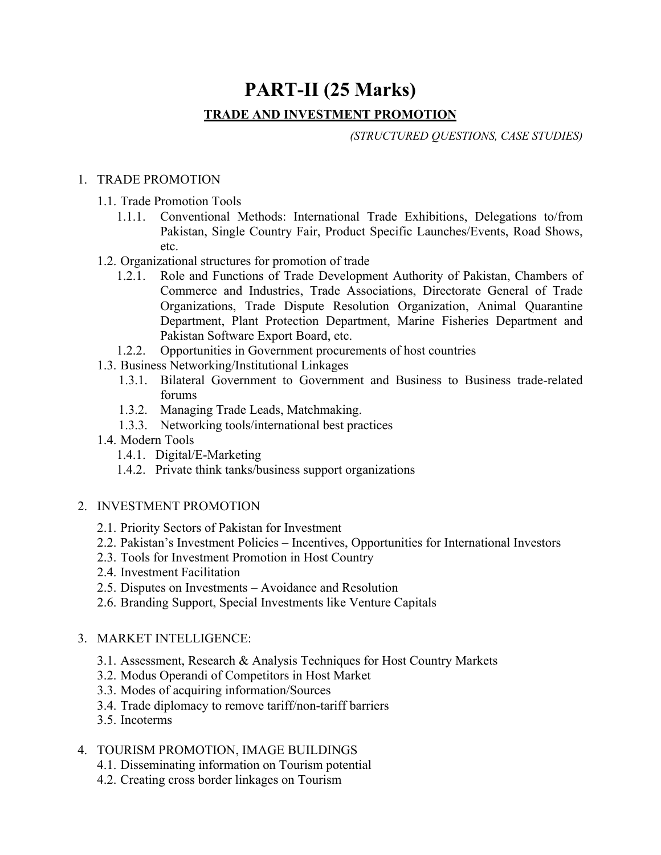### **PART-II (25 Marks)**

### **TRADE AND INVESTMENT PROMOTION**

#### *(STRUCTURED QUESTIONS, CASE STUDIES)*

#### 1. TRADE PROMOTION

- 1.1. Trade Promotion Tools
	- 1.1.1. Conventional Methods: International Trade Exhibitions, Delegations to/from Pakistan, Single Country Fair, Product Specific Launches/Events, Road Shows, etc.
- 1.2. Organizational structures for promotion of trade
	- 1.2.1. Role and Functions of Trade Development Authority of Pakistan, Chambers of Commerce and Industries, Trade Associations, Directorate General of Trade Organizations, Trade Dispute Resolution Organization, Animal Quarantine Department, Plant Protection Department, Marine Fisheries Department and Pakistan Software Export Board, etc.
	- 1.2.2. Opportunities in Government procurements of host countries
- 1.3. Business Networking/Institutional Linkages
	- 1.3.1. Bilateral Government to Government and Business to Business trade-related forums
	- 1.3.2. Managing Trade Leads, Matchmaking.
	- 1.3.3. Networking tools/international best practices
- 1.4. Modern Tools
	- 1.4.1. Digital/E-Marketing
	- 1.4.2. Private think tanks/business support organizations

#### 2. INVESTMENT PROMOTION

- 2.1. Priority Sectors of Pakistan for Investment
- 2.2. Pakistan's Investment Policies Incentives, Opportunities for International Investors
- 2.3. Tools for Investment Promotion in Host Country
- 2.4. Investment Facilitation
- 2.5. Disputes on Investments Avoidance and Resolution
- 2.6. Branding Support, Special Investments like Venture Capitals

#### 3. MARKET INTELLIGENCE:

- 3.1. Assessment, Research & Analysis Techniques for Host Country Markets
- 3.2. Modus Operandi of Competitors in Host Market
- 3.3. Modes of acquiring information/Sources
- 3.4. Trade diplomacy to remove tariff/non-tariff barriers
- 3.5. Incoterms

#### 4. TOURISM PROMOTION, IMAGE BUILDINGS

- 4.1. Disseminating information on Tourism potential
- 4.2. Creating cross border linkages on Tourism